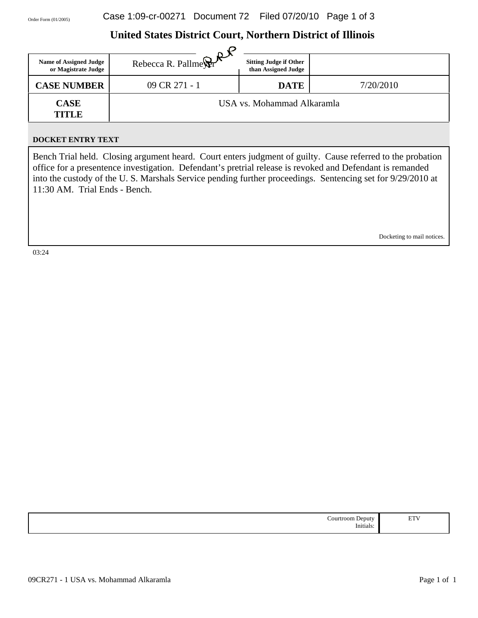# **United States District Court, Northern District of Illinois**

| <b>Name of Assigned Judge</b><br>or Magistrate Judge | Rebecca R. Pallmer $\mathbb{R}^n$ sin | <b>Sitting Judge if Other</b><br>than Assigned Judge |           |
|------------------------------------------------------|---------------------------------------|------------------------------------------------------|-----------|
| <b>CASE NUMBER</b>                                   | 09 CR 271 - 1                         | <b>DATE</b>                                          | 7/20/2010 |
| <b>CASE</b><br><b>TITLE</b>                          |                                       | USA vs. Mohammad Alkaramla                           |           |

#### **DOCKET ENTRY TEXT**

Bench Trial held. Closing argument heard. Court enters judgment of guilty. Cause referred to the probation office for a presentence investigation. Defendant's pretrial release is revoked and Defendant is remanded into the custody of the U. S. Marshals Service pending further proceedings. Sentencing set for 9/29/2010 at 11:30 AM. Trial Ends - Bench.

Docketing to mail notices.

03:24

| ∽<br>∩ur<br>reputy<br>oom<br>.<br>Initials: | <b>TIME</b><br>`<br>$\sim$ . |
|---------------------------------------------|------------------------------|
|---------------------------------------------|------------------------------|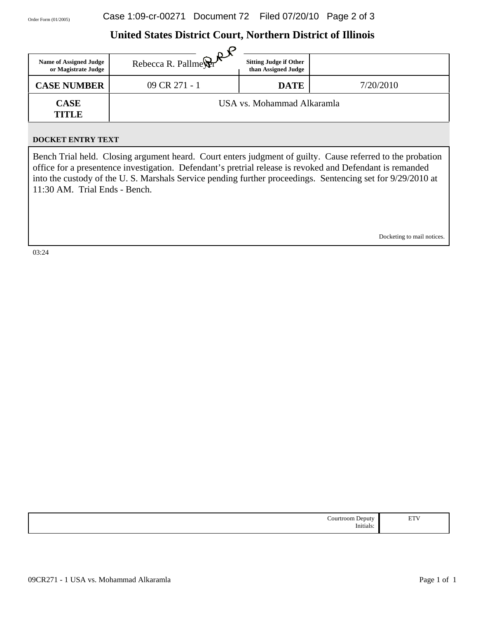# **United States District Court, Northern District of Illinois**

| <b>Name of Assigned Judge</b><br>or Magistrate Judge | Rebecca R. Pallmer $\mathbb{R}^{\mathcal{A}}$ Sn. | <b>Sitting Judge if Other</b><br>than Assigned Judge |           |
|------------------------------------------------------|---------------------------------------------------|------------------------------------------------------|-----------|
| <b>CASE NUMBER</b>                                   | 09 CR 271 - 1                                     | <b>DATE</b>                                          | 7/20/2010 |
| <b>CASE</b><br><b>TITLE</b>                          |                                                   | USA vs. Mohammad Alkaramla                           |           |

#### **DOCKET ENTRY TEXT**

Bench Trial held. Closing argument heard. Court enters judgment of guilty. Cause referred to the probation office for a presentence investigation. Defendant's pretrial release is revoked and Defendant is remanded into the custody of the U. S. Marshals Service pending further proceedings. Sentencing set for 9/29/2010 at 11:30 AM. Trial Ends - Bench.

Docketing to mail notices.

03:24

| וור<br>. .<br>.<br>Initials: | <b>ETV</b><br>. |
|------------------------------|-----------------|
|------------------------------|-----------------|